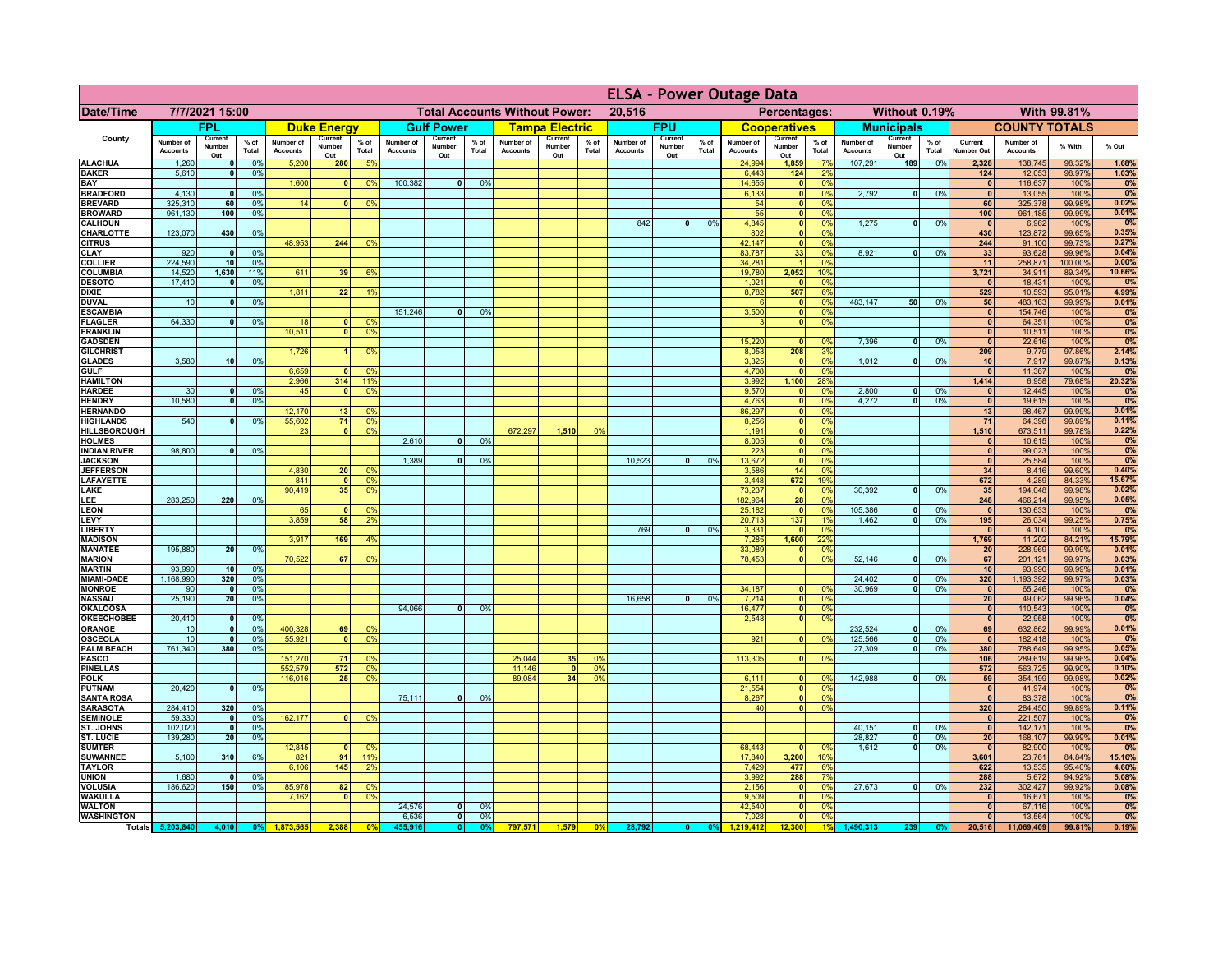|                                    |                              |                      |                 |                              |                    |                                                |                       | <b>ELSA - Power Outage Data</b> |                    |                              |                                              |                |                              |                   |                 |                              |                            |                       |                              |                        |                 |                              |                              |                  |                 |
|------------------------------------|------------------------------|----------------------|-----------------|------------------------------|--------------------|------------------------------------------------|-----------------------|---------------------------------|--------------------|------------------------------|----------------------------------------------|----------------|------------------------------|-------------------|-----------------|------------------------------|----------------------------|-----------------------|------------------------------|------------------------|-----------------|------------------------------|------------------------------|------------------|-----------------|
| <b>Date/Time</b>                   | 7/7/2021 15:00               |                      |                 |                              |                    | <b>Total Accounts Without Power:</b><br>20,516 |                       |                                 |                    |                              | Without 0.19%<br>With 99.81%<br>Percentages: |                |                              |                   |                 |                              |                            |                       |                              |                        |                 |                              |                              |                  |                 |
|                                    |                              | <b>FPL</b>           |                 |                              | <b>Duke Energy</b> |                                                |                       | <b>Gulf Power</b>               |                    |                              | <b>Tampa Electric</b>                        |                |                              | <b>FPU</b>        |                 |                              | <b>Cooperatives</b>        |                       |                              | <b>Municipals</b>      |                 |                              | <b>COUNTY TOTALS</b>         |                  |                 |
| County                             | Number of<br><b>Accounts</b> | Current<br>Number    | $%$ of<br>Total | Number of<br><b>Accounts</b> | Current<br>Number  | $%$ of<br>Total                                | Number of<br>Accounts | Current<br>Number               | $%$ of<br>Total    | Number of<br><b>Accounts</b> | Current<br>Number                            | % of<br>Total  | Number of<br><b>Accounts</b> | Current<br>Number | $%$ of<br>Total | Number of<br><b>Accounts</b> | Current<br>Number          | $%$ of<br>Total       | Number of<br><b>Accounts</b> | Current<br>Number      | $%$ of<br>Total | Current<br>Number Out        | Number of<br><b>Accounts</b> | % With           | % Out           |
| <b>ALACHUA</b>                     | 1,260                        | Out<br>$\mathbf{0}$  | 0%              | 5,200                        | Out<br>280         | 5 <sup>9</sup>                                 |                       | Out                             |                    |                              | Out                                          |                |                              | Out               |                 | 24,994                       | Out<br>1,859               | 7%                    | 107,291                      | Out<br>189             | 0%              | 2,328                        | 138,745                      | 98.32%           | 1.68%           |
| <b>BAKER</b>                       | 5,610                        | 0                    | 0%              |                              |                    |                                                |                       |                                 |                    |                              |                                              |                |                              |                   |                 | 6,443                        | $124$                      | 2%                    |                              |                        |                 | $124$                        | 12,053                       | 98.97%           | 1.03%<br>0%     |
| BAY<br><b>BRADFORD</b>             | 4,130                        | $\mathbf{o}$         | 0%              | 1,600                        | $\mathbf{0}$       | 0 <sup>9</sup>                                 | 100,382               | 0                               | 0%                 |                              |                                              |                |                              |                   |                 | 14,655<br>6,133              | 0 <br> 0                   | 0%<br>0%              | 2,792                        | 0                      | 0%              | $\mathbf{0}$<br>$\mathbf{0}$ | 116,637<br>13,055            | 100%<br>100%     | 0%              |
| <b>BREVARD</b>                     | 325,310                      | 60                   | 0%              | 14                           | 0                  | 0 <sup>9</sup>                                 |                       |                                 |                    |                              |                                              |                |                              |                   |                 | 54                           | 0                          | 0%                    |                              |                        |                 | 60                           | 325,378                      | 99.98%           | 0.02%           |
| <b>BROWARD</b><br><b>CALHOUN</b>   | 961.130                      | 100                  | 0%              |                              |                    |                                                |                       |                                 |                    |                              |                                              |                | 842                          | $\mathbf{0}$      | 0%              | 55<br>4,845                  | 0 <br> 0                   | 0%<br>0%              | 1,275                        | $\bullet$              | 0%              | 100<br>$\Omega$              | 961,185<br>6,962             | 99.99%<br>100%   | 0.01%<br>0%     |
| CHARLOTTE                          | 123,070                      | 430                  | 0%              |                              |                    |                                                |                       |                                 |                    |                              |                                              |                |                              |                   |                 | 802                          | 0                          | 0%                    |                              |                        |                 | 430                          | 123,872                      | 99.65%           | 0.35%           |
| <b>CITRUS</b><br><b>CLAY</b>       | 920                          | $\mathbf{0}$         | 0%              | 48,953                       | 244                | 0 <sup>9</sup>                                 |                       |                                 |                    |                              |                                              |                |                              |                   |                 | 42,147<br>83,787             | 0 <br>33                   | 0%<br>0 <sup>9</sup>  | 8,921                        | $\mathbf{0}$           | 0%              | 244<br>33                    | 91,100<br>93,628             | 99.73%<br>99.96% | 0.27%<br>0.04%  |
| <b>COLLIER</b>                     | 224,590                      | 10                   | 0 <sup>9</sup>  |                              |                    |                                                |                       |                                 |                    |                              |                                              |                |                              |                   |                 | 34,281                       |                            | 0 <sup>9</sup>        |                              |                        |                 | 11                           | 258,871                      | 100.00%          | 0.00%           |
| <b>COLUMBIA</b>                    | 14,520                       | 1,630                | 11%             | 611                          | 39                 | 6%                                             |                       |                                 |                    |                              |                                              |                |                              |                   |                 | 19,780                       | 2,052                      | 10%                   |                              |                        |                 | 3,721                        | 34,911                       | 89.34%           | 10.66%          |
| <b>DESOTO</b><br><b>DIXIE</b>      | 17,410                       | $\mathbf{0}$         | 0%              | 1,811                        | 22                 | -19                                            |                       |                                 |                    |                              |                                              |                |                              |                   |                 | 1,021<br>8,782               | $\mathbf{0}$<br>507        | 0°<br>6%              |                              |                        |                 | $\mathbf{0}$<br>529          | 18,431<br>10,593             | 100%<br>95.01%   | 0%<br>4.99%     |
| <b>DUVAL</b>                       | 10                           | $\mathbf{0}$         | 0%              |                              |                    |                                                |                       |                                 |                    |                              |                                              |                |                              |                   |                 |                              | 0                          | 0%                    | 483,147                      | 50                     | 0%              | 50                           | 483,163                      | 99.99%           | 0.01%           |
| <b>ESCAMBIA</b>                    |                              |                      |                 |                              |                    |                                                | 151,246               | $\Omega$                        | 0 <sup>9</sup>     |                              |                                              |                |                              |                   |                 | 3,500                        | 0                          | 0%                    |                              |                        |                 | $\mathbf{0}$                 | 154,746                      | 100%             | 0%              |
| <b>FLAGLER</b><br><b>FRANKLIN</b>  | 64,330                       | $\mathbf{0}$         | 0%              | 18<br>10,511                 |                    | 0 <sup>9</sup><br>0 <sup>9</sup>               |                       |                                 |                    |                              |                                              |                |                              |                   |                 |                              | 0                          | 0%                    |                              |                        |                 | $\mathbf{0}$<br>$\mathbf{0}$ | 64,351<br>10,511             | 100%<br>100%     | 0%<br>0%        |
| <b>GADSDEN</b>                     |                              |                      |                 |                              |                    |                                                |                       |                                 |                    |                              |                                              |                |                              |                   |                 | 15,220                       | $\mathbf{0}$               | 0%                    | 7,396                        | 0                      | 0%              | $\mathbf{0}$                 | 22,616                       | 100%             | 0%              |
| <b>GILCHRIST</b>                   | 3.580                        |                      |                 | 1,726                        |                    | 0 <sup>9</sup>                                 |                       |                                 |                    |                              |                                              |                |                              |                   |                 | 8,053                        | 208                        | 3%                    |                              |                        |                 | 209                          | 9,779                        | 97.86%           | 2.14%           |
| <b>GLADES</b><br><b>GULF</b>       |                              | 10                   | 0%              | 6,659                        |                    | 0 <sup>9</sup>                                 |                       |                                 |                    |                              |                                              |                |                              |                   |                 | 3,325<br>4,708               | 0 <br>$\overline{\bullet}$ | 0%<br>0%              | 1,012                        | $\bullet$              | 0%              | 10<br>$\mathbf{0}$           | 7,917<br>11,367              | 99.87%<br>100%   | 0.13%<br>0%     |
| <b>HAMILTON</b>                    |                              |                      |                 | 2.966                        | 314                | 119                                            |                       |                                 |                    |                              |                                              |                |                              |                   |                 | 3,992                        | 1.100                      | $\frac{28\%}{28\%}$   |                              |                        |                 | 1,414                        | 6,958                        | 79.68%           | 20.32%          |
| <b>HARDEE</b>                      | 30<br>10,580                 | 0 <br> 0             | 0%<br>0%        | 45                           | $\mathbf{0}$       | 0%                                             |                       |                                 |                    |                              |                                              |                |                              |                   |                 | 9,570<br>4,763               | 0 <br> 0                   | 0%<br>0%              | 2,800<br>4,272               | $\bullet$<br>$\bullet$ | 0%<br>0%        | $\Omega$<br>$\mathbf{0}$     | 12,445<br>19,615             | 100%<br>100%     | 0%<br>0%        |
| <b>HENDRY</b><br><b>HERNANDO</b>   |                              |                      |                 | 12,170                       | 13                 | 0%                                             |                       |                                 |                    |                              |                                              |                |                              |                   |                 | 86,297                       | 0                          | 0%                    |                              |                        |                 | 13                           | 98,467                       | 99.99%           | 0.01%           |
| <b>HIGHLANDS</b>                   | 540                          | $\Omega$             | 0 <sup>9</sup>  | 55,602                       | 71                 | 0 <sup>9</sup>                                 |                       |                                 |                    |                              |                                              |                |                              |                   |                 | 8,256                        | 0                          | 0%                    |                              |                        |                 | 71                           | 64,398                       | 99.89%           | 0.11%           |
| HILLSBOROUGH<br><b>HOLMES</b>      |                              |                      |                 | 23                           | $\Omega$           | 0 <sup>9</sup>                                 | 2,610                 | <sub>0</sub>                    | 0 <sup>9</sup>     | 672,297                      | 1,510                                        | 0 <sup>9</sup> |                              |                   |                 | 1,191<br>8,005               | 0 <br> 0                   | 0%<br>0%              |                              |                        |                 | 1,510<br>$\mathbf{0}$        | 673,511<br>10,615            | 99.78%<br>100%   | 0.22%<br>0%     |
| <b>INDIAN RIVER</b>                | 98,800                       |                      | 0%              |                              |                    |                                                |                       |                                 |                    |                              |                                              |                |                              |                   |                 | 223                          | 0                          | 0%                    |                              |                        |                 | $\mathbf{0}$                 | 99,023                       | 100%             | 0%              |
| <b>JACKSON</b>                     |                              |                      |                 |                              |                    |                                                | 1.389                 |                                 | $\mathbf{0}$<br>0% |                              |                                              |                | 10.523                       | $\Omega$          | 0%              | 13.672                       | 0                          | 0%                    |                              |                        |                 | 0                            | 25,584                       | 100%             | 0%              |
| <b>JEFFERSON</b><br>LAFAYETTE      |                              |                      |                 | 4.830<br>841                 | 20<br>$\Omega$     | 0%<br>0%                                       |                       |                                 |                    |                              |                                              |                |                              |                   |                 | 3.586<br>3.448               | 14<br>672                  | 0%<br>19%             |                              |                        |                 | 34<br>672                    | 8.416<br>4.289               | 99.60%<br>84.33% | 0.40%<br>15.67% |
| LAKE                               |                              |                      |                 | 90,419                       | 35                 | 0%                                             |                       |                                 |                    |                              |                                              |                |                              |                   |                 | 73,237                       | 0                          | 0%                    | 30,392                       | $\mathbf{0}$           | 0%              | 35                           | 194,048                      | 99.98%           | 0.02%           |
| LEE                                | 283,250                      | 220                  | 0%              |                              |                    | 0 <sup>9</sup>                                 |                       |                                 |                    |                              |                                              |                |                              |                   |                 | 182,964                      | 28<br> 0                   | 0%<br>0%              | 105,386                      | $\mathbf{0}$           |                 | 248                          | 466,214                      | 99.95%<br>100%   | 0.05%<br>0%     |
| <b>LEON</b><br>LEVY                |                              |                      |                 | 65<br>3,859                  | 58                 | 2 <sup>9</sup>                                 |                       |                                 |                    |                              |                                              |                |                              |                   |                 | 25,182<br>20,713             | 137                        | 19                    | 1,462                        | $\mathbf{0}$           | 0%<br>0%        | $\mathbf{0}$<br>195          | 130,633<br>26,034            | 99.25%           | 0.75%           |
| <b>LIBERTY</b>                     |                              |                      |                 |                              |                    |                                                |                       |                                 |                    |                              |                                              |                | 769                          | $\mathbf{0}$      | 0%              | 3,331                        | 0                          | 0%                    |                              |                        |                 | $\mathbf{0}$                 | 4,100                        | 100%             | 0%              |
| <b>MADISON</b><br><b>MANATEE</b>   | 195,880                      | 20                   | 0%              | 3,917                        | 169                | 4 <sup>9</sup>                                 |                       |                                 |                    |                              |                                              |                |                              |                   |                 | 7,285<br>33,089              | 1,600<br> 0                | 22%<br>0 <sup>9</sup> |                              |                        |                 | 1,769<br>20                  | 11,202<br>228,969            | 84.21%<br>99.99% | 15.79%<br>0.01% |
| <b>MARION</b>                      |                              |                      |                 | 70,522                       | 67                 | 0 <sup>9</sup>                                 |                       |                                 |                    |                              |                                              |                |                              |                   |                 | 78,453                       | 0                          | 0%                    | 52,146                       | $\mathbf{0}$           | 0%              | 67                           | 201,121                      | 99.97%           | 0.03%           |
| <b>MARTIN</b>                      | 93,990                       | 10                   | 0%              |                              |                    |                                                |                       |                                 |                    |                              |                                              |                |                              |                   |                 |                              |                            |                       |                              |                        |                 | 10 <sup>1</sup>              | 93,990                       | 99.99%           | 0.01%           |
| <b>MIAMI-DADE</b><br><b>MONROE</b> | 1,168,990<br>90              | 320<br>$\mathbf{0}$  | 0%<br>0%        |                              |                    |                                                |                       |                                 |                    |                              |                                              |                |                              |                   |                 | 34,187                       | $\mathbf{0}$               | 0%                    | 24,402<br>30,969             | $\mathbf{0}$<br> 0     | 0%<br>0%        | 320<br> 0                    | 1,193,392<br>65,246          | 99.97%<br>100%   | 0.03%<br>0%     |
| <b>NASSAU</b>                      | 25,190                       | 20                   | 0%              |                              |                    |                                                |                       |                                 |                    |                              |                                              |                | 16,658                       | $\Omega$          | 0%              | 7,214                        | 0                          | 0%                    |                              |                        |                 | 20                           | 49,062                       | 99.96%           | 0.04%           |
| OKALOOS/<br><b>OKEECHOBEE</b>      | 20,410                       |                      | 0%              |                              |                    |                                                | 94,066                | 0                               | 0%                 |                              |                                              |                |                              |                   |                 | 16,477<br>2,548              | 0 <br> 0                   | 0%<br>0%              |                              |                        |                 | 0                            | 110,543<br>22,958            | 100%<br>100%     | 0%<br>0%        |
| <b>ORANGE</b>                      | 10                           | 0 <br> 0             | 0%              | 400,328                      | 69                 | 0 <sup>9</sup>                                 |                       |                                 |                    |                              |                                              |                |                              |                   |                 |                              |                            |                       | 232,524                      | $\bullet$              | 0%              | 0 <br>69                     | 632,862                      | 99.99%           | 0.01%           |
| <b>OSCEOLA</b>                     | 10                           | 0                    | 0%              | 55,921                       | $\Omega$           | 0%                                             |                       |                                 |                    |                              |                                              |                |                              |                   |                 | 921                          | 0                          | 0%                    | 125,566                      | 0                      | 0%              | $\Omega$                     | 182,418                      | 100%             | 0%              |
| <b>PALM BEACH</b><br><b>PASCO</b>  | 761,340                      | 380                  | 0%              | 151,270                      | 71                 | 0%                                             |                       |                                 |                    | 25,044                       | 35                                           | 0 <sup>9</sup> |                              |                   |                 | 113,305                      | 0                          | 0%                    | 27,309                       | $\mathbf{0}$           | 0%              | 380<br>106                   | 788,649<br>289,619           | 99.95%<br>99.96% | 0.05%<br>0.04%  |
| <b>PINELLAS</b>                    |                              |                      |                 | 552,579                      | 572                | 0%                                             |                       |                                 |                    | 11,146                       | 0                                            | 0 <sup>9</sup> |                              |                   |                 |                              |                            |                       |                              |                        |                 | 572                          | 563,725                      | 99.90%           | 0.10%           |
| <b>POLK</b>                        |                              |                      |                 | 116,016                      | 25                 | 0 <sup>9</sup>                                 |                       |                                 |                    | 89,084                       | 34                                           | 0 <sup>9</sup> |                              |                   |                 | 6,111                        | 0                          | 0%                    | 142,988                      | 0                      | 0%              | 59                           | 354,199                      | 99.98%           | 0.02%           |
| <b>PUTNAM</b><br><b>SANTA ROSA</b> | 20,420                       | $\mathbf{0}$         | 0%              |                              |                    |                                                | 75,111                | $\overline{0}$                  | 0%                 |                              |                                              |                |                              |                   |                 | 21,554<br>8,267              | 0 <br> 0                   | 0%<br>0%              |                              |                        |                 | $\mathbf{0}$<br>$\mathbf{0}$ | 41,974<br>83,378             | 100%<br>100%     | 0%<br>0%        |
| <b>SARASOTA</b>                    | 284,410                      | 320                  | 0%              |                              |                    |                                                |                       |                                 |                    |                              |                                              |                |                              |                   |                 | 40                           | $\overline{0}$             | 0%                    |                              |                        |                 | 320                          | 284,450                      | 99.89%           | 0.11%           |
| <b>SEMINOLE</b>                    | 59,330<br>102.020            | $\mathbf{0}$<br>- ol | 0%              | 162,177                      | $\mathbf{0}$       | 0%                                             |                       |                                 |                    |                              |                                              |                |                              |                   |                 |                              |                            |                       | 40,151                       |                        |                 | $\mathbf{0}$<br>$\mathbf{0}$ | 221,507<br>142,171           | 100%<br>100%     | 0%<br>0%        |
| ST. JOHNS<br><b>ST. LUCIE</b>      | 139,280                      | 20                   | 0%<br>0%        |                              |                    |                                                |                       |                                 |                    |                              |                                              |                |                              |                   |                 |                              |                            |                       | 28.827                       | 0 <br>$\bullet$        | 0%<br>0%        | 20                           | 168,107                      | 99.99%           | 0.01%           |
| <b>SUMTER</b>                      |                              |                      |                 | 12,845                       |                    | 0 <sup>9</sup>                                 |                       |                                 |                    |                              |                                              |                |                              |                   |                 | 68,443                       | $\overline{0}$             | 0%                    | 1.612                        | $\mathbf{0}$           | 0%              | $\mathbf{0}$                 | 82,900                       | 100%             | 0%              |
| SUWANNEE<br><b>TAYLOR</b>          | 5,100                        | 310                  | 6%              | 821<br>6,106                 | 91<br>145          | 119<br>2 <sup>9</sup>                          |                       |                                 |                    |                              |                                              |                |                              |                   |                 | 17,840<br>7,429              | 3,200<br>477               | 18%<br>6%             |                              |                        |                 | 3,601<br>622                 | 23,761<br>13,535             | 84.84%<br>95.40% | 15.16%<br>4.60% |
| <b>UNION</b>                       | 1,680                        | 0                    | 0%              |                              |                    |                                                |                       |                                 |                    |                              |                                              |                |                              |                   |                 | 3,992                        | 288                        | 7%                    |                              |                        |                 | 288                          | 5,672                        | 94.92%           | 5.08%           |
| <b>VOLUSIA</b>                     | 186,620                      | 150                  | 0%              | 85,978                       | 82                 | 0 <sup>6</sup>                                 |                       |                                 |                    |                              |                                              |                |                              |                   |                 | 2,156                        | 0                          | 0 <sup>9</sup>        | 27,673                       | $\mathbf{0}$           | 0%              | 232                          | 302,427                      | 99.92%           | 0.08%           |
| <b>WAKULLA</b><br><b>WALTON</b>    |                              |                      |                 | 7,162                        |                    | 0 <sup>9</sup>                                 | 24,576                | $\mathbf{0}$                    | 0 <sup>9</sup>     |                              |                                              |                |                              |                   |                 | 9,509<br>42,540              | 0 <br>$\overline{0}$       | 0%<br>0%              |                              |                        |                 | $\mathbf{0}$<br>$\mathbf{0}$ | 16,671<br>67,116             | 100%<br>100%     | 0%<br>0%        |
| <b>WASHINGTON</b>                  |                              |                      |                 |                              |                    |                                                | 6,536                 | 0                               | 0%                 |                              |                                              |                |                              |                   |                 | 7,028                        | 0                          | 0%                    |                              |                        |                 | $\mathbf{0}$                 | 13,564                       | 100%             | 0%              |
|                                    | Totals 5,203,840             | 4,010                | 0%              | 1,873,565                    | 2,388              | 0 <sup>o</sup>                                 | 455,916               | 0                               | 0 <sup>9</sup>     | 797,571                      | 1,579                                        | 0%             | 28,792                       | 0                 | 0%              | 1,219,412                    | 12,300                     | 1%                    | 1,490,313                    | 239                    |                 | 20,516                       | 11.069.409                   | 99.81%           | 0.19%           |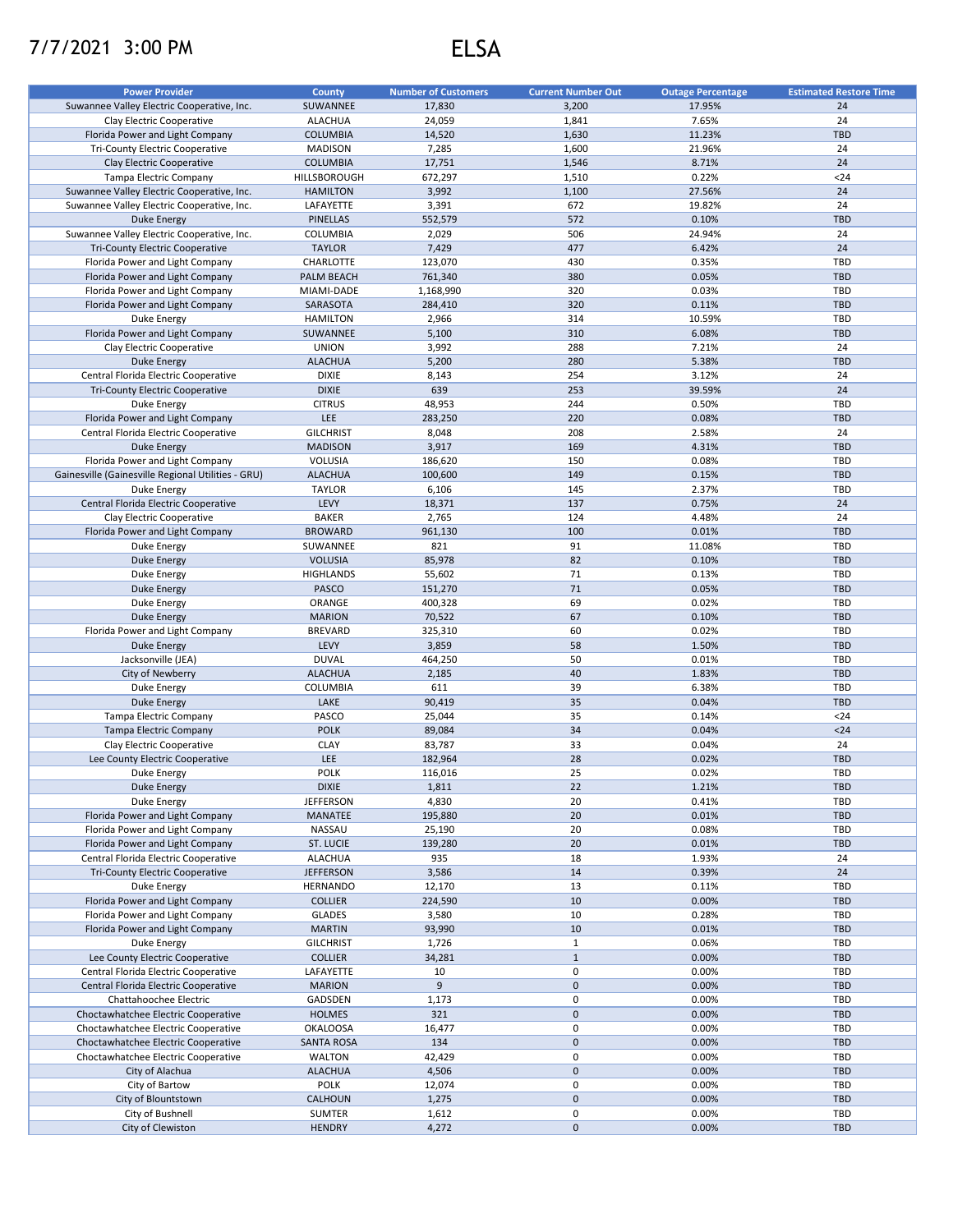## 7/7/2021 3:00 PM ELSA

| <b>Power Provider</b>                              | <b>County</b>     | <b>Number of Customers</b> | <b>Current Number Out</b> | <b>Outage Percentage</b> | <b>Estimated Restore Time</b> |
|----------------------------------------------------|-------------------|----------------------------|---------------------------|--------------------------|-------------------------------|
| Suwannee Valley Electric Cooperative, Inc.         | SUWANNEE          | 17,830                     | 3,200                     | 17.95%                   | 24                            |
| Clay Electric Cooperative                          | <b>ALACHUA</b>    | 24,059                     | 1,841                     | 7.65%                    | 24                            |
| Florida Power and Light Company                    | <b>COLUMBIA</b>   | 14,520                     | 1,630                     | 11.23%                   | <b>TBD</b>                    |
| Tri-County Electric Cooperative                    | <b>MADISON</b>    | 7,285                      | 1,600                     | 21.96%                   | 24                            |
| Clay Electric Cooperative                          | <b>COLUMBIA</b>   | 17,751                     | 1,546                     | 8.71%                    | 24                            |
| <b>Tampa Electric Company</b>                      | HILLSBOROUGH      | 672,297                    | 1,510                     | 0.22%                    | $24$                          |
| Suwannee Valley Electric Cooperative, Inc.         | <b>HAMILTON</b>   | 3,992                      | 1,100                     | 27.56%                   | 24                            |
| Suwannee Valley Electric Cooperative, Inc.         | LAFAYETTE         | 3,391                      | 672                       | 19.82%                   | 24                            |
| <b>Duke Energy</b>                                 | <b>PINELLAS</b>   | 552,579                    | 572                       | 0.10%                    | <b>TBD</b>                    |
| Suwannee Valley Electric Cooperative, Inc.         | COLUMBIA          | 2,029                      | 506                       | 24.94%                   | 24                            |
| <b>Tri-County Electric Cooperative</b>             |                   |                            | 477                       |                          | 24                            |
|                                                    | <b>TAYLOR</b>     | 7,429                      |                           | 6.42%                    |                               |
| Florida Power and Light Company                    | CHARLOTTE         | 123,070                    | 430                       | 0.35%                    | <b>TBD</b>                    |
| Florida Power and Light Company                    | PALM BEACH        | 761,340                    | 380                       | 0.05%                    | <b>TBD</b>                    |
| Florida Power and Light Company                    | MIAMI-DADE        | 1,168,990                  | 320                       | 0.03%                    | TBD                           |
| Florida Power and Light Company                    | SARASOTA          | 284,410                    | 320                       | 0.11%                    | <b>TBD</b>                    |
| Duke Energy                                        | <b>HAMILTON</b>   | 2,966                      | 314                       | 10.59%                   | <b>TBD</b>                    |
| Florida Power and Light Company                    | SUWANNEE          | 5,100                      | 310                       | 6.08%                    | <b>TBD</b>                    |
| Clay Electric Cooperative                          | <b>UNION</b>      | 3,992                      | 288                       | 7.21%                    | 24                            |
| <b>Duke Energy</b>                                 | <b>ALACHUA</b>    | 5,200                      | 280                       | 5.38%                    | <b>TBD</b>                    |
| Central Florida Electric Cooperative               | <b>DIXIE</b>      | 8,143                      | 254                       | 3.12%                    | 24                            |
| Tri-County Electric Cooperative                    | <b>DIXIE</b>      | 639                        | 253                       | 39.59%                   | 24                            |
| Duke Energy                                        | <b>CITRUS</b>     | 48,953                     | 244                       | 0.50%                    | <b>TBD</b>                    |
| Florida Power and Light Company                    | <b>LEE</b>        | 283,250                    | 220                       | 0.08%                    | <b>TBD</b>                    |
| Central Florida Electric Cooperative               | <b>GILCHRIST</b>  | 8,048                      | 208                       | 2.58%                    | 24                            |
| <b>Duke Energy</b>                                 | <b>MADISON</b>    | 3,917                      | 169                       | 4.31%                    | <b>TBD</b>                    |
| Florida Power and Light Company                    | VOLUSIA           | 186,620                    | 150                       | 0.08%                    | <b>TBD</b>                    |
| Gainesville (Gainesville Regional Utilities - GRU) | <b>ALACHUA</b>    | 100,600                    | 149                       | 0.15%                    | <b>TBD</b>                    |
| Duke Energy                                        | <b>TAYLOR</b>     | 6,106                      | 145                       | 2.37%                    | <b>TBD</b>                    |
| Central Florida Electric Cooperative               | LEVY              | 18,371                     | 137                       | 0.75%                    | 24                            |
| Clay Electric Cooperative                          | <b>BAKER</b>      | 2,765                      | 124                       | 4.48%                    | 24                            |
| Florida Power and Light Company                    | <b>BROWARD</b>    | 961,130                    | 100                       | 0.01%                    | <b>TBD</b>                    |
| Duke Energy                                        | SUWANNEE          | 821                        | 91                        | 11.08%                   | <b>TBD</b>                    |
| <b>Duke Energy</b>                                 | <b>VOLUSIA</b>    | 85,978                     | 82                        | 0.10%                    | <b>TBD</b>                    |
| Duke Energy                                        | <b>HIGHLANDS</b>  | 55,602                     | 71                        | 0.13%                    | <b>TBD</b>                    |
| <b>Duke Energy</b>                                 | PASCO             | 151,270                    | 71                        | 0.05%                    | <b>TBD</b>                    |
|                                                    |                   |                            | 69                        |                          | <b>TBD</b>                    |
| Duke Energy                                        | ORANGE            | 400,328                    |                           | 0.02%                    |                               |
| <b>Duke Energy</b>                                 | <b>MARION</b>     | 70,522                     | 67                        | 0.10%                    | <b>TBD</b>                    |
| Florida Power and Light Company                    | <b>BREVARD</b>    | 325,310                    | 60                        | 0.02%                    | TBD                           |
| <b>Duke Energy</b>                                 | LEVY              | 3,859                      | 58                        | 1.50%                    | <b>TBD</b>                    |
| Jacksonville (JEA)                                 | <b>DUVAL</b>      | 464,250                    | 50                        | 0.01%                    | <b>TBD</b>                    |
| City of Newberry                                   | <b>ALACHUA</b>    | 2,185                      | 40                        | 1.83%                    | <b>TBD</b>                    |
| Duke Energy                                        | COLUMBIA          | 611                        | 39                        | 6.38%                    | TBD                           |
| Duke Energy                                        | LAKE              | 90,419                     | 35                        | 0.04%                    | <b>TBD</b>                    |
| <b>Tampa Electric Company</b>                      | PASCO             | 25,044                     | 35                        | 0.14%                    | $24$                          |
| Tampa Electric Company                             | <b>POLK</b>       | 89,084                     | 34                        | 0.04%                    | $24$                          |
| Clay Electric Cooperative                          | <b>CLAY</b>       | 83,787                     | 33                        | 0.04%                    | 24                            |
| Lee County Electric Cooperative                    | <b>LEE</b>        | 182,964                    | 28                        | 0.02%                    | <b>TBD</b>                    |
| Duke Energy                                        | <b>POLK</b>       | 116,016                    | 25                        | 0.02%                    | <b>TBD</b>                    |
| <b>Duke Energy</b>                                 | <b>DIXIE</b>      | 1,811                      | 22                        | 1.21%                    | TBD                           |
| Duke Energy                                        | <b>JEFFERSON</b>  | 4,830                      | 20                        | 0.41%                    | TBD                           |
| Florida Power and Light Company                    | MANATEE           | 195,880                    | 20                        | 0.01%                    | <b>TBD</b>                    |
| Florida Power and Light Company                    | NASSAU            | 25,190                     | 20                        | 0.08%                    | TBD                           |
| Florida Power and Light Company                    | ST. LUCIE         | 139,280                    | 20                        | 0.01%                    | <b>TBD</b>                    |
| Central Florida Electric Cooperative               | <b>ALACHUA</b>    | 935                        | 18                        | 1.93%                    | 24                            |
| Tri-County Electric Cooperative                    | <b>JEFFERSON</b>  | 3,586                      | 14                        | 0.39%                    | 24                            |
| Duke Energy                                        | <b>HERNANDO</b>   | 12,170                     | 13                        | 0.11%                    | TBD                           |
| Florida Power and Light Company                    | <b>COLLIER</b>    | 224,590                    | 10                        | 0.00%                    | <b>TBD</b>                    |
| Florida Power and Light Company                    | GLADES            | 3,580                      | 10                        | 0.28%                    | TBD                           |
|                                                    |                   |                            |                           |                          |                               |
| Florida Power and Light Company                    | <b>MARTIN</b>     | 93,990                     | 10<br>$\mathbf 1$         | 0.01%                    | <b>TBD</b><br>TBD             |
| Duke Energy                                        | <b>GILCHRIST</b>  | 1,726                      |                           | 0.06%                    |                               |
| Lee County Electric Cooperative                    | <b>COLLIER</b>    | 34,281                     | $\mathbf{1}$              | 0.00%                    | <b>TBD</b>                    |
| Central Florida Electric Cooperative               | LAFAYETTE         | 10                         | 0                         | 0.00%                    | TBD                           |
| Central Florida Electric Cooperative               | <b>MARION</b>     | 9                          | $\pmb{0}$                 | 0.00%                    | <b>TBD</b>                    |
| Chattahoochee Electric                             | GADSDEN           | 1,173                      | 0                         | 0.00%                    | TBD                           |
| Choctawhatchee Electric Cooperative                | <b>HOLMES</b>     | 321                        | $\pmb{0}$                 | 0.00%                    | <b>TBD</b>                    |
| Choctawhatchee Electric Cooperative                | <b>OKALOOSA</b>   | 16,477                     | 0                         | 0.00%                    | TBD                           |
| Choctawhatchee Electric Cooperative                | <b>SANTA ROSA</b> | 134                        | $\pmb{0}$                 | 0.00%                    | <b>TBD</b>                    |
| Choctawhatchee Electric Cooperative                | WALTON            | 42,429                     | 0                         | 0.00%                    | TBD                           |
| City of Alachua                                    | <b>ALACHUA</b>    | 4,506                      | $\pmb{0}$                 | 0.00%                    | <b>TBD</b>                    |
| City of Bartow                                     | <b>POLK</b>       | 12,074                     | 0                         | 0.00%                    | TBD                           |
| City of Blountstown                                | CALHOUN           | 1,275                      | $\pmb{0}$                 | 0.00%                    | <b>TBD</b>                    |
| City of Bushnell                                   | SUMTER            | 1,612                      | 0                         | 0.00%                    | TBD                           |
| City of Clewiston                                  | <b>HENDRY</b>     | 4,272                      | $\mathbf 0$               | 0.00%                    | TBD                           |
|                                                    |                   |                            |                           |                          |                               |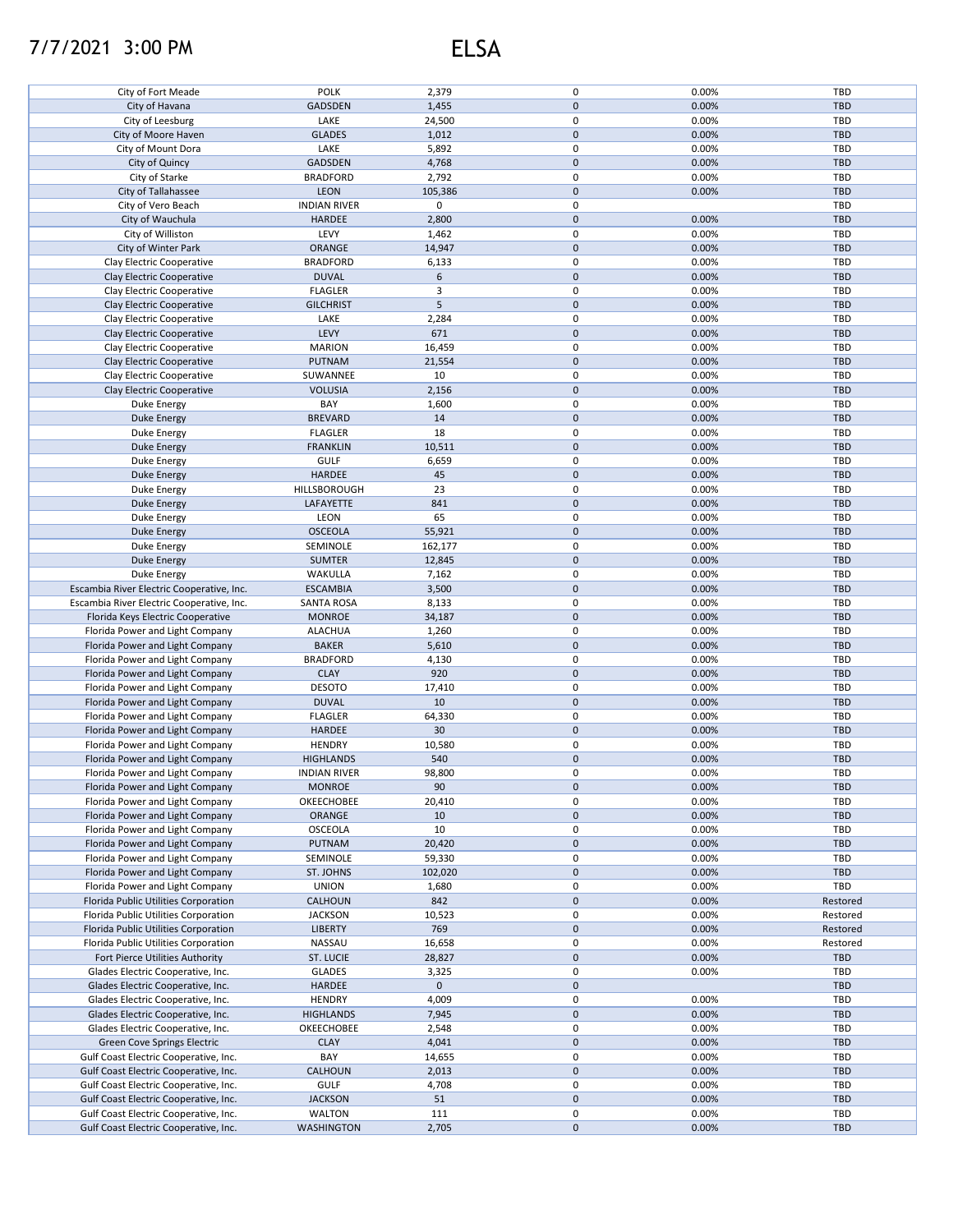## 7/7/2021 3:00 PM ELSA

| City of Fort Meade                        | <b>POLK</b>         | 2,379       | $\mathsf 0$         | 0.00% | TBD        |
|-------------------------------------------|---------------------|-------------|---------------------|-------|------------|
| City of Havana                            | GADSDEN             | 1,455       | $\mathsf 0$         | 0.00% | <b>TBD</b> |
| City of Leesburg                          | LAKE                | 24,500      | 0                   | 0.00% | TBD        |
| City of Moore Haven                       | <b>GLADES</b>       | 1,012       | $\mathbf 0$         | 0.00% | <b>TBD</b> |
| City of Mount Dora                        | LAKE                | 5,892       | $\pmb{0}$           | 0.00% | TBD        |
| City of Quincy                            | GADSDEN             | 4,768       | $\pmb{0}$           | 0.00% | <b>TBD</b> |
| City of Starke                            | <b>BRADFORD</b>     | 2,792       | $\mathsf 0$         | 0.00% | TBD        |
| City of Tallahassee                       | LEON                | 105,386     | $\pmb{0}$           | 0.00% | <b>TBD</b> |
| City of Vero Beach                        | <b>INDIAN RIVER</b> | 0           | $\pmb{0}$           |       | TBD        |
| City of Wauchula                          | <b>HARDEE</b>       | 2,800       | $\mathsf 0$         | 0.00% | <b>TBD</b> |
| City of Williston                         | LEVY                | 1,462       | $\pmb{0}$           | 0.00% | TBD        |
| City of Winter Park                       | ORANGE              | 14,947      | $\mathsf 0$         | 0.00% | <b>TBD</b> |
| Clay Electric Cooperative                 | <b>BRADFORD</b>     | 6,133       | $\pmb{0}$           | 0.00% | TBD        |
| Clay Electric Cooperative                 | <b>DUVAL</b>        | 6           | $\mathsf 0$         | 0.00% | <b>TBD</b> |
| Clay Electric Cooperative                 | <b>FLAGLER</b>      | 3           | $\mathsf 0$         | 0.00% | TBD        |
| Clay Electric Cooperative                 | <b>GILCHRIST</b>    | 5           | $\mathsf 0$         | 0.00% | <b>TBD</b> |
| Clay Electric Cooperative                 | LAKE                | 2,284       | 0                   | 0.00% | TBD        |
| Clay Electric Cooperative                 | LEVY                | 671         | $\pmb{0}$           | 0.00% | <b>TBD</b> |
| Clay Electric Cooperative                 | <b>MARION</b>       | 16,459      | 0                   | 0.00% | <b>TBD</b> |
| Clay Electric Cooperative                 | <b>PUTNAM</b>       | 21,554      | $\mathsf 0$         | 0.00% | <b>TBD</b> |
| Clay Electric Cooperative                 | SUWANNEE            | 10          | 0                   | 0.00% | TBD        |
| Clay Electric Cooperative                 | <b>VOLUSIA</b>      | 2,156       | $\mathbf 0$         | 0.00% | <b>TBD</b> |
| Duke Energy                               | BAY                 | 1,600       | 0                   | 0.00% | TBD        |
| Duke Energy                               | <b>BREVARD</b>      | 14          | $\mathsf 0$         | 0.00% | <b>TBD</b> |
| Duke Energy                               | <b>FLAGLER</b>      | 18          | 0                   | 0.00% | TBD        |
| <b>Duke Energy</b>                        | <b>FRANKLIN</b>     | 10,511      | $\mathsf 0$         | 0.00% | TBD        |
| Duke Energy                               | <b>GULF</b>         | 6,659       | 0                   | 0.00% | <b>TBD</b> |
| <b>Duke Energy</b>                        | HARDEE              | 45          | $\mathsf 0$         | 0.00% | <b>TBD</b> |
| Duke Energy                               | HILLSBOROUGH        | 23          | 0                   | 0.00% | TBD        |
| <b>Duke Energy</b>                        | LAFAYETTE           | 841         | $\pmb{0}$           | 0.00% | <b>TBD</b> |
| Duke Energy                               | LEON                | 65          | 0                   | 0.00% | <b>TBD</b> |
| <b>Duke Energy</b>                        | <b>OSCEOLA</b>      | 55,921      | $\mathsf 0$         | 0.00% | <b>TBD</b> |
| Duke Energy                               | SEMINOLE            | 162,177     | $\mathsf 0$         | 0.00% | TBD        |
| Duke Energy                               | <b>SUMTER</b>       | 12,845      | $\mathsf 0$         | 0.00% | <b>TBD</b> |
| Duke Energy                               | WAKULLA             | 7,162       | $\mathsf 0$         | 0.00% | <b>TBD</b> |
| Escambia River Electric Cooperative, Inc. | <b>ESCAMBIA</b>     | 3,500       | $\mathsf 0$         | 0.00% | <b>TBD</b> |
| Escambia River Electric Cooperative, Inc. | <b>SANTA ROSA</b>   | 8,133       | $\mathsf 0$         | 0.00% | <b>TBD</b> |
| Florida Keys Electric Cooperative         | <b>MONROE</b>       | 34,187      | $\mathbf 0$         | 0.00% | <b>TBD</b> |
| Florida Power and Light Company           | <b>ALACHUA</b>      | 1,260       | $\mathsf 0$         | 0.00% | TBD        |
| Florida Power and Light Company           | <b>BAKER</b>        | 5,610       | $\mathbf 0$         | 0.00% | <b>TBD</b> |
| Florida Power and Light Company           | <b>BRADFORD</b>     | 4,130       | 0                   | 0.00% | TBD        |
| Florida Power and Light Company           | <b>CLAY</b>         | 920         | $\pmb{0}$           | 0.00% | <b>TBD</b> |
| Florida Power and Light Company           | <b>DESOTO</b>       | 17,410      | $\mathsf 0$         | 0.00% | TBD        |
| Florida Power and Light Company           | <b>DUVAL</b>        | 10          | $\mathbf 0$         | 0.00% | <b>TBD</b> |
| Florida Power and Light Company           | <b>FLAGLER</b>      | 64,330      | $\mathsf 0$         | 0.00% | TBD        |
| Florida Power and Light Company           | HARDEE              | 30          | $\mathbf 0$         | 0.00% | <b>TBD</b> |
| Florida Power and Light Company           | <b>HENDRY</b>       | 10,580      | 0                   | 0.00% | TBD        |
| Florida Power and Light Company           | <b>HIGHLANDS</b>    | 540         | $\pmb{0}$           | 0.00% | <b>TBD</b> |
| Florida Power and Light Company           | <b>INDIAN RIVER</b> | 98,800      | 0                   | 0.00% | TBD        |
| Florida Power and Light Company           | <b>MONROE</b>       | 90          | $\mathbf 0$         | 0.00% | <b>TBD</b> |
| Florida Power and Light Company           | OKEECHOBEE          | 20,410      | 0                   | 0.00% | TBD        |
| Florida Power and Light Company           | ORANGE              | 10          | $\mathbf 0$         | 0.00% | <b>TBD</b> |
| Florida Power and Light Company           | <b>OSCEOLA</b>      | 10          | 0                   | 0.00% | TBD        |
| Florida Power and Light Company           | PUTNAM              | 20,420      | $\pmb{0}$           | 0.00% | <b>TBD</b> |
| Florida Power and Light Company           | SEMINOLE            | 59,330      | $\pmb{0}$           | 0.00% | TBD        |
| Florida Power and Light Company           | ST. JOHNS           | 102,020     | $\pmb{0}$           | 0.00% | <b>TBD</b> |
| Florida Power and Light Company           | <b>UNION</b>        | 1,680       | $\pmb{0}$           | 0.00% | TBD        |
| Florida Public Utilities Corporation      | <b>CALHOUN</b>      | 842         | $\mathsf 0$         | 0.00% | Restored   |
| Florida Public Utilities Corporation      | <b>JACKSON</b>      | 10,523      | $\pmb{0}$           | 0.00% | Restored   |
| Florida Public Utilities Corporation      | <b>LIBERTY</b>      | 769         | $\mathsf 0$         | 0.00% | Restored   |
| Florida Public Utilities Corporation      | NASSAU              | 16,658      | $\mathsf 0$         | 0.00% | Restored   |
| Fort Pierce Utilities Authority           | ST. LUCIE           | 28,827      | $\mathsf 0$         | 0.00% | <b>TBD</b> |
| Glades Electric Cooperative, Inc.         | <b>GLADES</b>       | 3,325       | 0                   | 0.00% | TBD        |
| Glades Electric Cooperative, Inc.         | HARDEE              | $\mathbf 0$ | $\mathsf 0$         |       | <b>TBD</b> |
| Glades Electric Cooperative, Inc.         | <b>HENDRY</b>       | 4,009       | 0                   | 0.00% | <b>TBD</b> |
| Glades Electric Cooperative, Inc.         | <b>HIGHLANDS</b>    | 7,945       | $\mathbf 0$         | 0.00% | <b>TBD</b> |
| Glades Electric Cooperative, Inc.         | OKEECHOBEE          | 2,548       | 0                   | 0.00% | <b>TBD</b> |
| Green Cove Springs Electric               | <b>CLAY</b>         | 4,041       | 0                   | 0.00% | <b>TBD</b> |
| Gulf Coast Electric Cooperative, Inc.     | BAY                 | 14,655      | 0                   | 0.00% | TBD        |
| Gulf Coast Electric Cooperative, Inc.     | CALHOUN             | 2,013       | $\mathbf 0$         | 0.00% | <b>TBD</b> |
| Gulf Coast Electric Cooperative, Inc.     | <b>GULF</b>         | 4,708       | 0                   | 0.00% | TBD        |
| Gulf Coast Electric Cooperative, Inc.     | <b>JACKSON</b>      | 51          | $\mathsf 0$         | 0.00% | <b>TBD</b> |
| Gulf Coast Electric Cooperative, Inc.     | <b>WALTON</b>       | 111         | 0                   | 0.00% | TBD        |
| Gulf Coast Electric Cooperative, Inc.     | WASHINGTON          | 2,705       | $\mathsf{O}\xspace$ | 0.00% | TBD        |
|                                           |                     |             |                     |       |            |